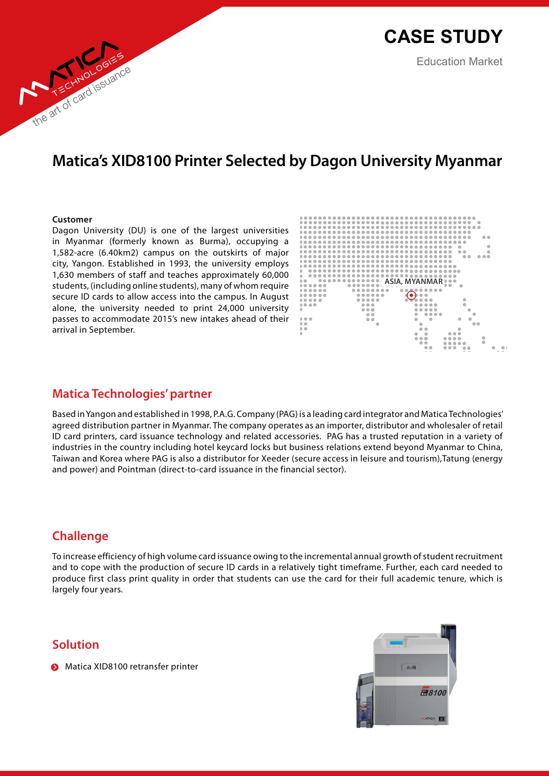# **Matica's XID8100 Printer Selected by Dagon University Myanmar**

#### **Customer**

the art of card issuance

Dagon University (DU) is one of the largest universities in Myanmar (formerly known as Burma), occupying a 1,582-acre (6.40km2) campus on the outskirts of major city, Yangon. Established in 1993, the university employs 1,630 members of staff and teaches approximately 60,000 students, (including online students), many of whom require secure ID cards to allow access into the campus. In August alone, the university needed to print 24,000 university passes to accommodate 2015's new intakes ahead of their arrival in September.



# **Matica Technologies' partner**

Based in Yangon and established in 1998, P.A.G. Company (PAG) is a leading card integrator and Matica Technologies' agreed distribution partner in Myanmar. The company operates as an importer, distributor and wholesaler of retail ID card printers, card issuance technology and related accessories. PAG has a trusted reputation in a variety of industries in the country including hotel keycard locks but business relations extend beyond Myanmar to China, Taiwan and Korea where PAG is also a distributor for Xeeder (secure access in leisure and tourism),Tatung (energy and power) and Pointman (direct-to-card issuance in the financial sector).

# **Challenge**

To increase efficiency of high volume card issuance owing to the incremental annual growth of student recruitment and to cope with the production of secure ID cards in a relatively tight timeframe. Further, each card needed to produce first class print quality in order that students can use the card for their full academic tenure, which is largely four years.

# **Solution**

**Matica XID8100 retransfer printer** 

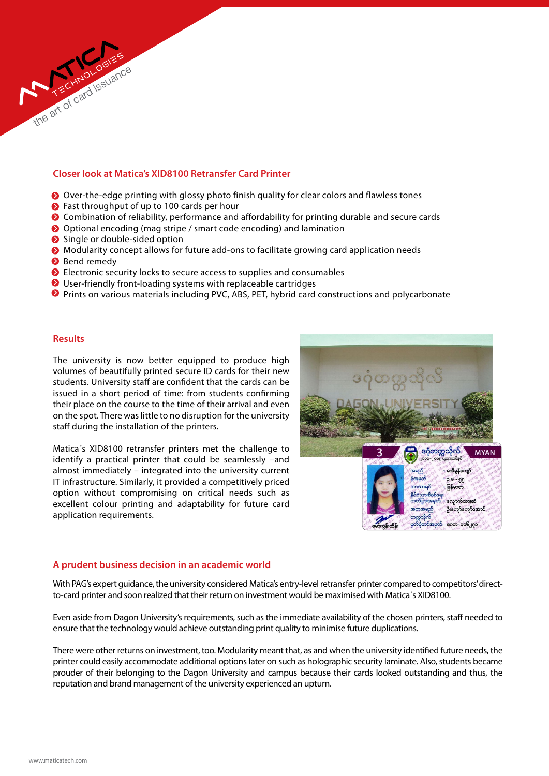# **Closer look at Matica's XID8100 Retransfer Card Printer**

- Over-the-edge printing with glossy photo finish quality for clear colors and flawless tones
- ◆ Fast throughput of up to 100 cards per hour
- Combination of reliability, performance and affordability for printing durable and secure cards
- Optional encoding (mag stripe / smart code encoding) and lamination
- Single or double-sided option
- Modularity concept allows for future add-ons to facilitate growing card application needs
- **Bend remedy**
- Electronic security locks to secure access to supplies and consumables
- User-friendly front-loading systems with replaceable cartridges
- Prints on various materials including PVC, ABS, PET, hybrid card constructions and polycarbonate

# **Results**

The university is now better equipped to produce high volumes of beautifully printed secure ID cards for their new students. University staff are confident that the cards can be issued in a short period of time: from students confirming their place on the course to the time of their arrival and even on the spot. There was little to no disruption for the university staff during the installation of the printers.

Matica´s XID8100 retransfer printers met the challenge to identify a practical printer that could be seamlessly –and almost immediately – integrated into the university current IT infrastructure. Similarly, it provided a competitively priced option without compromising on critical needs such as excellent colour printing and adaptability for future card application requirements.



#### **A prudent business decision in an academic world**

With PAG's expert guidance, the university considered Matica's entry-level retransfer printer compared to competitors' directto-card printer and soon realized that their return on investment would be maximised with Matica´s XID8100.

Even aside from Dagon University's requirements, such as the immediate availability of the chosen printers, staff needed to ensure that the technology would achieve outstanding print quality to minimise future duplications.

There were other returns on investment, too. Modularity meant that, as and when the university identified future needs, the printer could easily accommodate additional options later on such as holographic security laminate. Also, students became prouder of their belonging to the Dagon University and campus because their cards looked outstanding and thus, the reputation and brand management of the university experienced an upturn.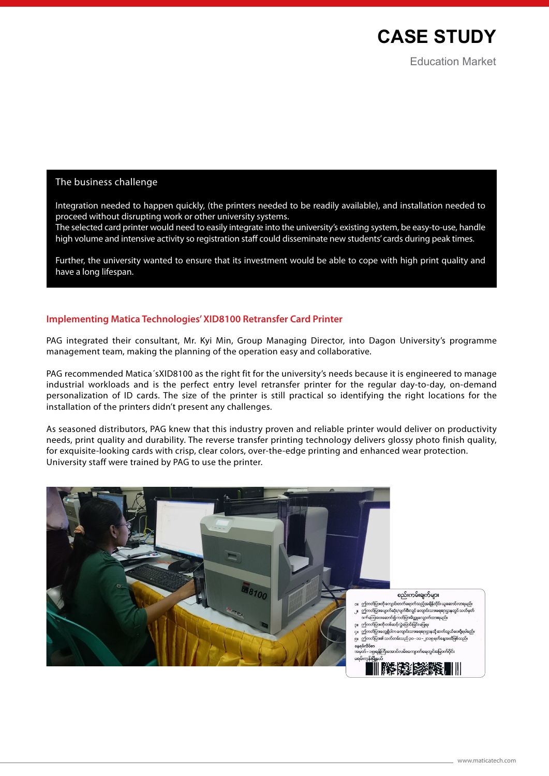

# The business challenge

Integration needed to happen quickly, (the printers needed to be readily available), and installation needed to proceed without disrupting work or other university systems.

The selected card printer would need to easily integrate into the university's existing system, be easy-to-use, handle high volume and intensive activity so registration staff could disseminate new students' cards during peak times.

Further, the university wanted to ensure that its investment would be able to cope with high print quality and have a long lifespan.

#### **Implementing Matica Technologies' XID8100 Retransfer Card Printer**

PAG integrated their consultant, Mr. Kyi Min, Group Managing Director, into Dagon University's programme management team, making the planning of the operation easy and collaborative.

PAG recommended Matica´sXID8100 as the right fit for the university's needs because it is engineered to manage industrial workloads and is the perfect entry level retransfer printer for the regular day-to-day, on-demand personalization of ID cards. The size of the printer is still practical so identifying the right locations for the installation of the printers didn't present any challenges.

As seasoned distributors, PAG knew that this industry proven and reliable printer would deliver on productivity needs, print quality and durability. The reverse transfer printing technology delivers glossy photo finish quality, for exquisite-looking cards with crisp, clear colors, over-the-edge printing and enhanced wear protection. University staff were trained by PAG to use the printer.